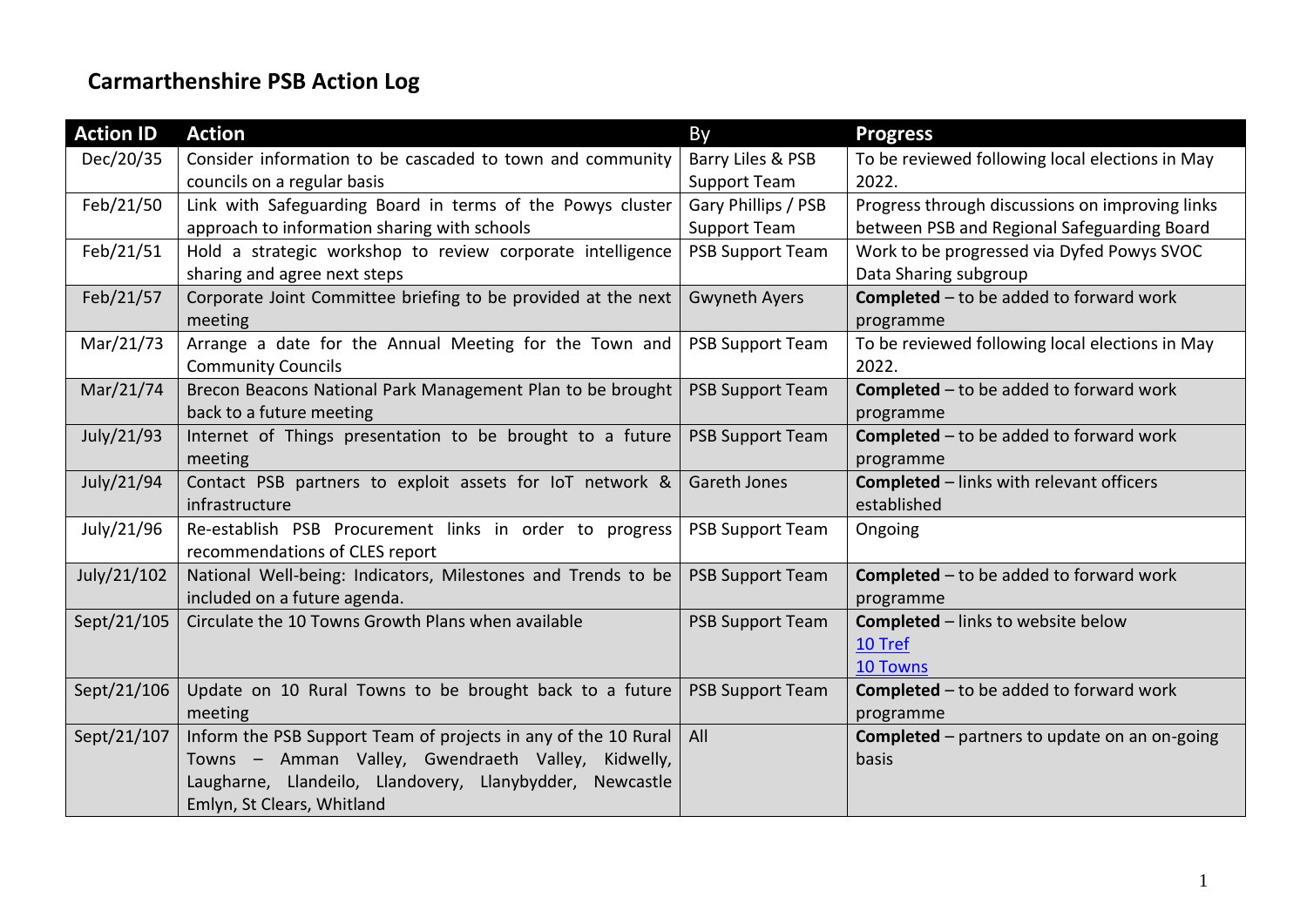## **Carmarthenshire PSB Action Log**

| <b>Action ID</b> | <b>Action</b>                                                  | By                      | <b>Progress</b>                                      |
|------------------|----------------------------------------------------------------|-------------------------|------------------------------------------------------|
| Dec/20/35        | Consider information to be cascaded to town and community      | Barry Liles & PSB       | To be reviewed following local elections in May      |
|                  | councils on a regular basis                                    | <b>Support Team</b>     | 2022.                                                |
| Feb/21/50        | Link with Safeguarding Board in terms of the Powys cluster     | Gary Phillips / PSB     | Progress through discussions on improving links      |
|                  | approach to information sharing with schools                   | <b>Support Team</b>     | between PSB and Regional Safeguarding Board          |
| Feb/21/51        | Hold a strategic workshop to review corporate intelligence     | <b>PSB Support Team</b> | Work to be progressed via Dyfed Powys SVOC           |
|                  | sharing and agree next steps                                   |                         | Data Sharing subgroup                                |
| Feb/21/57        | Corporate Joint Committee briefing to be provided at the next  | <b>Gwyneth Ayers</b>    | <b>Completed</b> - to be added to forward work       |
|                  | meeting                                                        |                         | programme                                            |
| Mar/21/73        | Arrange a date for the Annual Meeting for the Town and         | <b>PSB Support Team</b> | To be reviewed following local elections in May      |
|                  | <b>Community Councils</b>                                      |                         | 2022.                                                |
| Mar/21/74        | Brecon Beacons National Park Management Plan to be brought     | <b>PSB Support Team</b> | <b>Completed</b> $-$ to be added to forward work     |
|                  | back to a future meeting                                       |                         | programme                                            |
| July/21/93       | Internet of Things presentation to be brought to a future      | <b>PSB Support Team</b> | <b>Completed</b> $-$ to be added to forward work     |
|                  | meeting                                                        |                         | programme                                            |
| July/21/94       | Contact PSB partners to exploit assets for IoT network &       | Gareth Jones            | <b>Completed</b> - links with relevant officers      |
|                  | infrastructure                                                 |                         | established                                          |
| July/21/96       | Re-establish PSB Procurement links in order to progress        | <b>PSB Support Team</b> | Ongoing                                              |
|                  | recommendations of CLES report                                 |                         |                                                      |
| July/21/102      | National Well-being: Indicators, Milestones and Trends to be   | <b>PSB Support Team</b> | <b>Completed</b> - to be added to forward work       |
|                  | included on a future agenda.                                   |                         | programme                                            |
| Sept/21/105      | Circulate the 10 Towns Growth Plans when available             | <b>PSB Support Team</b> | <b>Completed</b> - links to website below            |
|                  |                                                                |                         | 10 Tref                                              |
|                  |                                                                |                         | <b>10 Towns</b>                                      |
| Sept/21/106      | Update on 10 Rural Towns to be brought back to a future        | <b>PSB Support Team</b> | <b>Completed</b> - to be added to forward work       |
|                  | meeting                                                        |                         | programme                                            |
| Sept/21/107      | Inform the PSB Support Team of projects in any of the 10 Rural | All                     | <b>Completed</b> – partners to update on an on-going |
|                  | Towns - Amman Valley, Gwendraeth Valley, Kidwelly,             |                         | basis                                                |
|                  | Laugharne, Llandeilo, Llandovery, Llanybydder, Newcastle       |                         |                                                      |
|                  | Emlyn, St Clears, Whitland                                     |                         |                                                      |